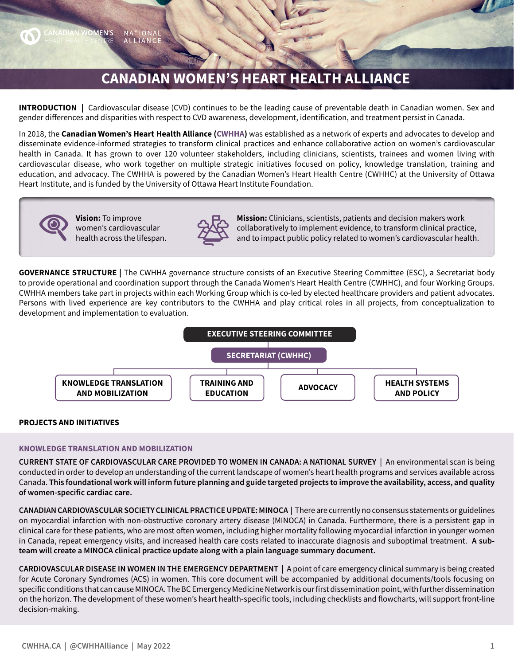## **CANADIAN WOMEN'S HEART HEALTH ALLIANCE**

**INTRODUCTION |** Cardiovascular disease (CVD) continues to be the leading cause of preventable death in Canadian women. Sex and gender differences and disparities with respect to CVD awareness, development, identification, and treatment persist in Canada.

In 2018, the **Canadian Women's Heart Health Alliance (CWHHA)** was established as a network of experts and advocates to develop and disseminate evidence-informed strategies to transform clinical practices and enhance collaborative action on women's cardiovascular health in Canada. It has grown to over 120 volunteer stakeholders, including clinicians, scientists, trainees and women living with cardiovascular disease, who work together on multiple strategic initiatives focused on policy, knowledge translation, training and education, and advocacy. The CWHHA is powered by the Canadian Women's Heart Health Centre (CWHHC) at the University of Ottawa Heart Institute, and is funded by the University of Ottawa Heart Institute Foundation.



**Vision:** To improve women's cardiovascular health across the lifespan.



**Mission:** Clinicians, scientists, patients and decision makers work collaboratively to implement evidence, to transform clinical practice, and to impact public policy related to women's cardiovascular health.

**GOVERNANCE STRUCTURE |** The CWHHA governance structure consists of an Executive Steering Committee (ESC), a Secretariat body to provide operational and coordination support through the Canada Women's Heart Health Centre (CWHHC), and four Working Groups. CWHHA members take part in projects within each Working Group which is co-led by elected healthcare providers and patient advocates. Persons with lived experience are key contributors to the CWHHA and play critical roles in all projects, from conceptualization to development and implementation to evaluation.



## **PROJECTS AND INITIATIVES**

### **KNOWLEDGE TRANSLATION AND MOBILIZATION**

**CURRENT STATE OF CARDIOVASCULAR CARE PROVIDED TO WOMEN IN CANADA: A NATIONAL SURVEY |** An environmental scan is being conducted in order to develop an understanding of the current landscape of women's heart health programs and services available across Canada. **This foundational work will inform future planning and guide targeted projects to improve the availability, access, and quality of women-specific cardiac care.** 

**CANADIAN CARDIOVASCULAR SOCIETY CLINICAL PRACTICE UPDATE: MINOCA |** There are currently no consensus statements or guidelines on myocardial infarction with non-obstructive coronary artery disease (MINOCA) in Canada. Furthermore, there is a persistent gap in clinical care for these patients, who are most often women, including higher mortality following myocardial infarction in younger women in Canada, repeat emergency visits, and increased health care costs related to inaccurate diagnosis and suboptimal treatment. **A subteam will create a MINOCA clinical practice update along with a plain language summary document.**

**CARDIOVASCULAR DISEASE IN WOMEN IN THE EMERGENCY DEPARTMENT |** A point of care emergency clinical summary is being created for Acute Coronary Syndromes (ACS) in women. This core document will be accompanied by additional documents/tools focusing on specific conditions that can cause MINOCA. The BC Emergency Medicine Network is our first dissemination point, with further dissemination on the horizon. The development of these women's heart health-specific tools, including checklists and flowcharts, will support front-line decision-making.